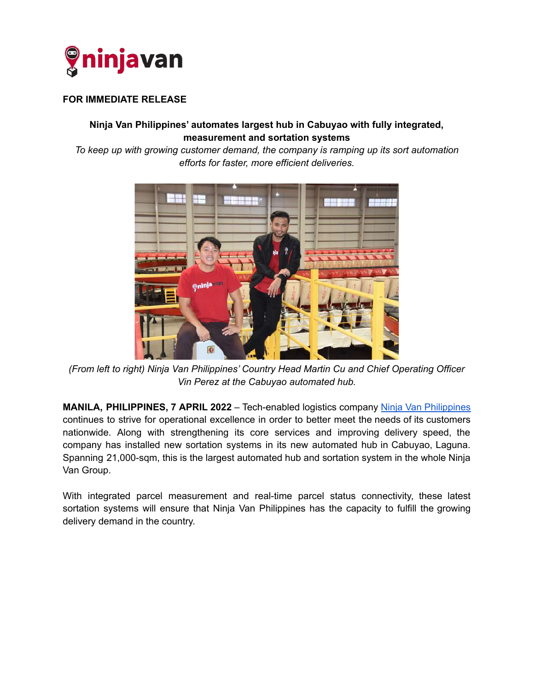

## **FOR IMMEDIATE RELEASE**

## **Ninja Van Philippines' automates largest hub in Cabuyao with fully integrated, measurement and sortation systems**

*To keep up with growing customer demand, the company is ramping up its sort automation efforts for faster, more efficient deliveries.*



*(From left to right) Ninja Van Philippines' Country Head Martin Cu and Chief Operating Officer Vin Perez at the Cabuyao automated hub.*

**MANILA, PHILIPPINES, 7 APRIL 2022** – Tech-enabled logistics company Ninja Van [Philippines](https://www.ninjavan.co/en-ph) continues to strive for operational excellence in order to better meet the needs of its customers nationwide. Along with strengthening its core services and improving delivery speed, the company has installed new sortation systems in its new automated hub in Cabuyao, Laguna. Spanning 21,000-sqm, this is the largest automated hub and sortation system in the whole Ninja Van Group.

With integrated parcel measurement and real-time parcel status connectivity, these latest sortation systems will ensure that Ninja Van Philippines has the capacity to fulfill the growing delivery demand in the country.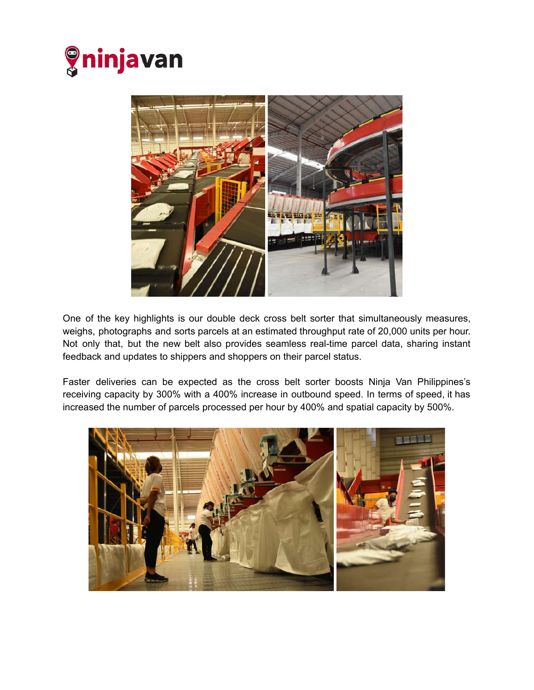



One of the key highlights is our double deck cross belt sorter that simultaneously measures, weighs, photographs and sorts parcels at an estimated throughput rate of 20,000 units per hour. Not only that, but the new belt also provides seamless real-time parcel data, sharing instant feedback and updates to shippers and shoppers on their parcel status.

Faster deliveries can be expected as the cross belt sorter boosts Ninja Van Philippines's receiving capacity by 300% with a 400% increase in outbound speed. In terms of speed, it has increased the number of parcels processed per hour by 400% and spatial capacity by 500%.